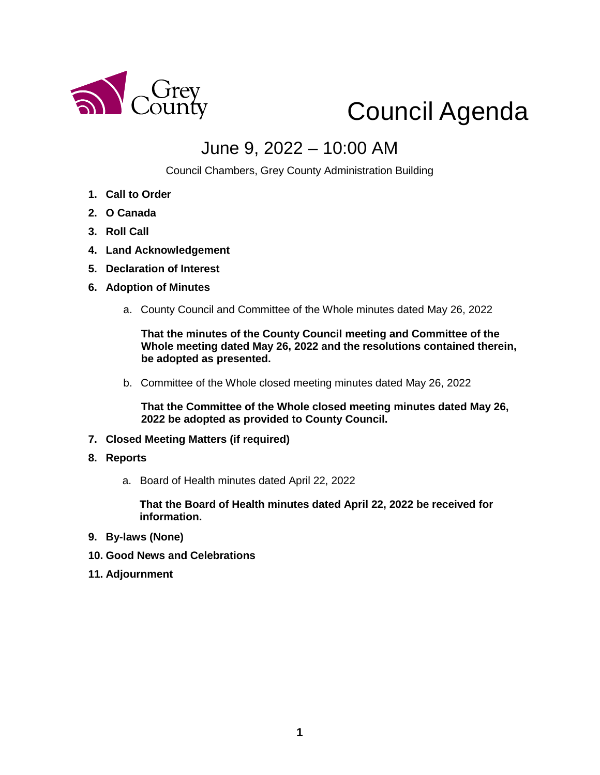

# Council Agenda

### June 9, 2022 – 10:00 AM

Council Chambers, Grey County Administration Building

- **1. Call to Order**
- **2. O Canada**
- **3. Roll Call**
- **4. Land Acknowledgement**
- **5. Declaration of Interest**
- **6. Adoption of Minutes** 
	- a. County Council and Committee of the Whole minutes dated May 26, 2022

**That the minutes of the County Council meeting and Committee of the Whole meeting dated May 26, 2022 and the resolutions contained therein, be adopted as presented.** 

b. Committee of the Whole closed meeting minutes dated May 26, 2022

**That the Committee of the Whole closed meeting minutes dated May 26, 2022 be adopted as provided to County Council.**

- **7. Closed Meeting Matters (if required)**
- **8. Reports**
	- a. Board of Health minutes dated April 22, 2022

**That the Board of Health minutes dated April 22, 2022 be received for information.** 

- **9. By-laws (None)**
- **10. Good News and Celebrations**
- **11. Adjournment**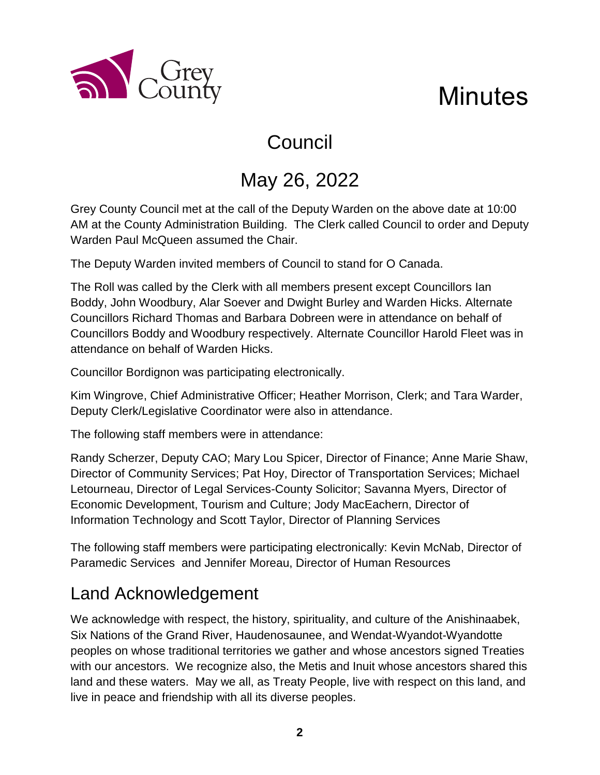



# Council

# May 26, 2022

Grey County Council met at the call of the Deputy Warden on the above date at 10:00 AM at the County Administration Building. The Clerk called Council to order and Deputy Warden Paul McQueen assumed the Chair.

The Deputy Warden invited members of Council to stand for O Canada.

The Roll was called by the Clerk with all members present except Councillors Ian Boddy, John Woodbury, Alar Soever and Dwight Burley and Warden Hicks. Alternate Councillors Richard Thomas and Barbara Dobreen were in attendance on behalf of Councillors Boddy and Woodbury respectively. Alternate Councillor Harold Fleet was in attendance on behalf of Warden Hicks.

Councillor Bordignon was participating electronically.

Kim Wingrove, Chief Administrative Officer; Heather Morrison, Clerk; and Tara Warder, Deputy Clerk/Legislative Coordinator were also in attendance.

The following staff members were in attendance:

Randy Scherzer, Deputy CAO; Mary Lou Spicer, Director of Finance; Anne Marie Shaw, Director of Community Services; Pat Hoy, Director of Transportation Services; Michael Letourneau, Director of Legal Services-County Solicitor; Savanna Myers, Director of Economic Development, Tourism and Culture; Jody MacEachern, Director of Information Technology and Scott Taylor, Director of Planning Services

The following staff members were participating electronically: Kevin McNab, Director of Paramedic Services and Jennifer Moreau, Director of Human Resources

### Land Acknowledgement

We acknowledge with respect, the history, spirituality, and culture of the Anishinaabek, Six Nations of the Grand River, Haudenosaunee, and Wendat-Wyandot-Wyandotte peoples on whose traditional territories we gather and whose ancestors signed Treaties with our ancestors. We recognize also, the Metis and Inuit whose ancestors shared this land and these waters. May we all, as Treaty People, live with respect on this land, and live in peace and friendship with all its diverse peoples.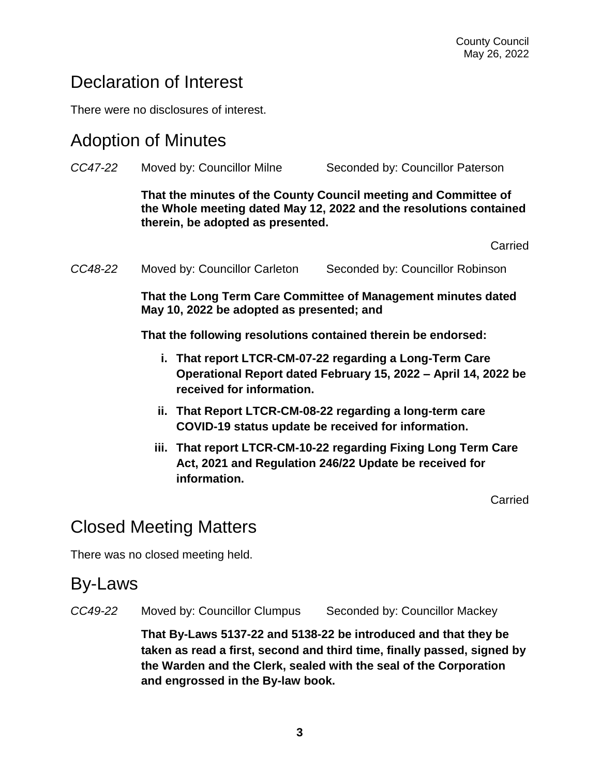### Declaration of Interest

There were no disclosures of interest.

#### Adoption of Minutes

| CC47-22 | Moved by: Councillor Milne                                                                                                                                                 | Seconded by: Councillor Paterson |  |  |  |
|---------|----------------------------------------------------------------------------------------------------------------------------------------------------------------------------|----------------------------------|--|--|--|
|         | That the minutes of the County Council meeting and Committee of<br>the Whole meeting dated May 12, 2022 and the resolutions contained<br>therein, be adopted as presented. |                                  |  |  |  |
|         |                                                                                                                                                                            | Carried                          |  |  |  |
| CC48-22 | Moved by: Councillor Carleton                                                                                                                                              | Seconded by: Councillor Robinson |  |  |  |
|         | That the Long Term Care Committee of Management minutes dated<br>May 10, 2022 be adopted as presented; and                                                                 |                                  |  |  |  |
|         | That the following resolutions contained therein be endorsed:                                                                                                              |                                  |  |  |  |
|         | i. That report LTCR-CM-07-22 regarding a Long-Term Care<br>Operational Report dated February 15, 2022 – April 14, 2022 be<br>received for information.                     |                                  |  |  |  |
|         | ii. That Report LTCR-CM-08-22 regarding a long-term care<br>COVID-19 status update be received for information.                                                            |                                  |  |  |  |
|         | iji That report I TCR-CM-10-22 regarding Fixing Long Term Care                                                                                                             |                                  |  |  |  |

**iii. That report LTCR-CM-10-22 regarding Fixing Long Term Care Act, 2021 and Regulation 246/22 Update be received for information.**

Carried

### Closed Meeting Matters

There was no closed meeting held.

#### By-Laws

*CC49-22* Moved by: Councillor Clumpus Seconded by: Councillor Mackey

**That By-Laws 5137-22 and 5138-22 be introduced and that they be taken as read a first, second and third time, finally passed, signed by the Warden and the Clerk, sealed with the seal of the Corporation and engrossed in the By-law book.**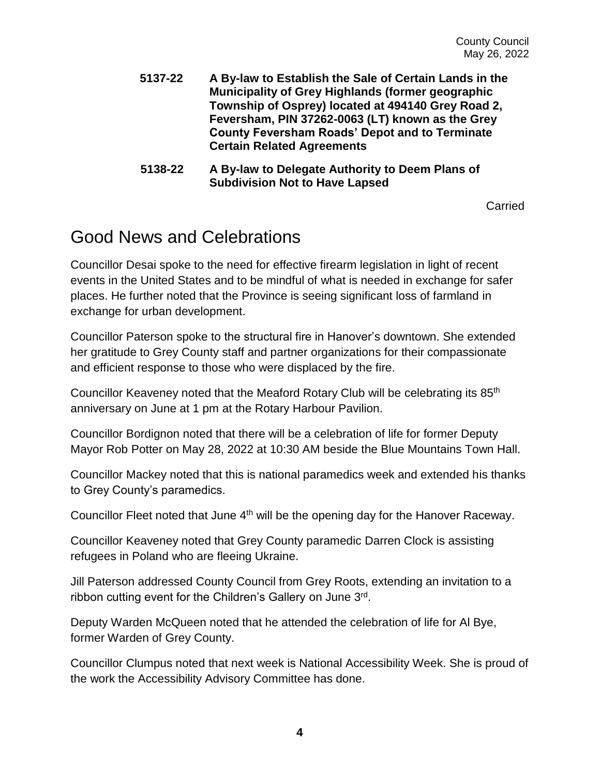- **5137-22 A By-law to Establish the Sale of Certain Lands in the Municipality of Grey Highlands (former geographic Township of Osprey) located at 494140 Grey Road 2, Feversham, PIN 37262-0063 (LT) known as the Grey County Feversham Roads' Depot and to Terminate Certain Related Agreements**
- **5138-22 A By-law to Delegate Authority to Deem Plans of Subdivision Not to Have Lapsed**

Carried

#### Good News and Celebrations

Councillor Desai spoke to the need for effective firearm legislation in light of recent events in the United States and to be mindful of what is needed in exchange for safer places. He further noted that the Province is seeing significant loss of farmland in exchange for urban development.

Councillor Paterson spoke to the structural fire in Hanover's downtown. She extended her gratitude to Grey County staff and partner organizations for their compassionate and efficient response to those who were displaced by the fire.

Councillor Keaveney noted that the Meaford Rotary Club will be celebrating its 85th anniversary on June at 1 pm at the Rotary Harbour Pavilion.

Councillor Bordignon noted that there will be a celebration of life for former Deputy Mayor Rob Potter on May 28, 2022 at 10:30 AM beside the Blue Mountains Town Hall.

Councillor Mackey noted that this is national paramedics week and extended his thanks to Grey County's paramedics.

Councillor Fleet noted that June 4<sup>th</sup> will be the opening day for the Hanover Raceway.

Councillor Keaveney noted that Grey County paramedic Darren Clock is assisting refugees in Poland who are fleeing Ukraine.

Jill Paterson addressed County Council from Grey Roots, extending an invitation to a ribbon cutting event for the Children's Gallery on June 3rd.

Deputy Warden McQueen noted that he attended the celebration of life for Al Bye, former Warden of Grey County.

Councillor Clumpus noted that next week is National Accessibility Week. She is proud of the work the Accessibility Advisory Committee has done.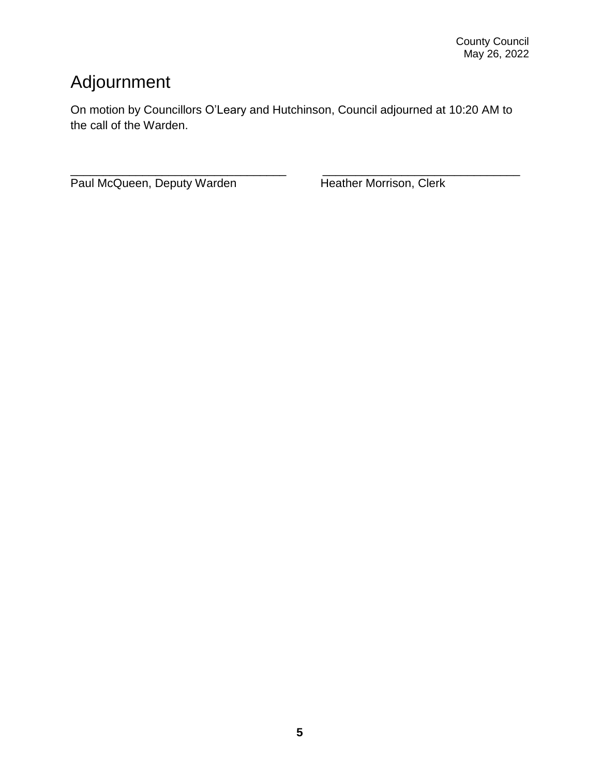### Adjournment

On motion by Councillors O'Leary and Hutchinson, Council adjourned at 10:20 AM to the call of the Warden.

\_\_\_\_\_\_\_\_\_\_\_\_\_\_\_\_\_\_\_\_\_\_\_\_\_\_\_\_\_\_\_\_\_ \_\_\_\_\_\_\_\_\_\_\_\_\_\_\_\_\_\_\_\_\_\_\_\_\_\_\_\_\_\_ Paul McQueen, Deputy Warden Heather Morrison, Clerk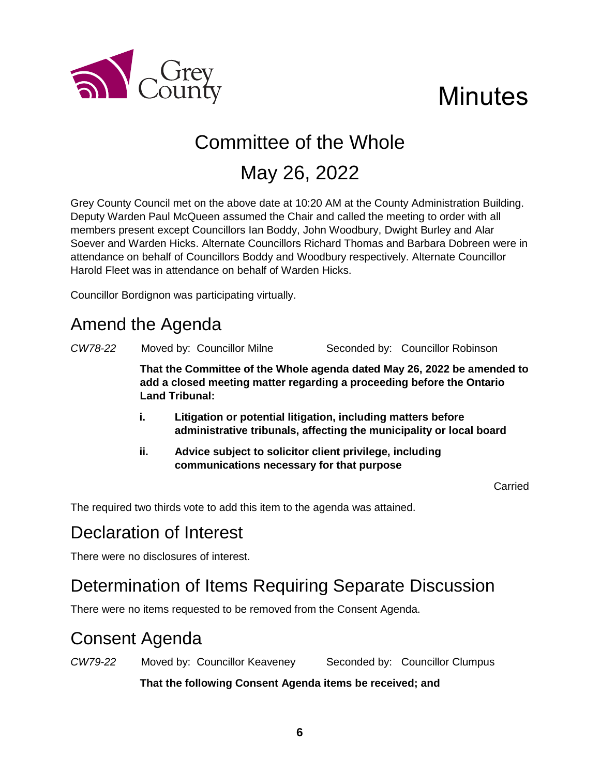

# **Minutes**

## Committee of the Whole

## May 26, 2022

Grey County Council met on the above date at 10:20 AM at the County Administration Building. Deputy Warden Paul McQueen assumed the Chair and called the meeting to order with all members present except Councillors Ian Boddy, John Woodbury, Dwight Burley and Alar Soever and Warden Hicks. Alternate Councillors Richard Thomas and Barbara Dobreen were in attendance on behalf of Councillors Boddy and Woodbury respectively. Alternate Councillor Harold Fleet was in attendance on behalf of Warden Hicks.

Councillor Bordignon was participating virtually.

### Amend the Agenda

*CW78-22* Moved by: Councillor Milne Seconded by: Councillor Robinson

**That the Committee of the Whole agenda dated May 26, 2022 be amended to add a closed meeting matter regarding a proceeding before the Ontario Land Tribunal:**

- **i. Litigation or potential litigation, including matters before administrative tribunals, affecting the municipality or local board**
- **ii. Advice subject to solicitor client privilege, including communications necessary for that purpose**

Carried

The required two thirds vote to add this item to the agenda was attained.

### Declaration of Interest

There were no disclosures of interest.

#### Determination of Items Requiring Separate Discussion

There were no items requested to be removed from the Consent Agenda.

### Consent Agenda

*CW79-22* Moved by: Councillor Keaveney Seconded by: Councillor Clumpus

**That the following Consent Agenda items be received; and**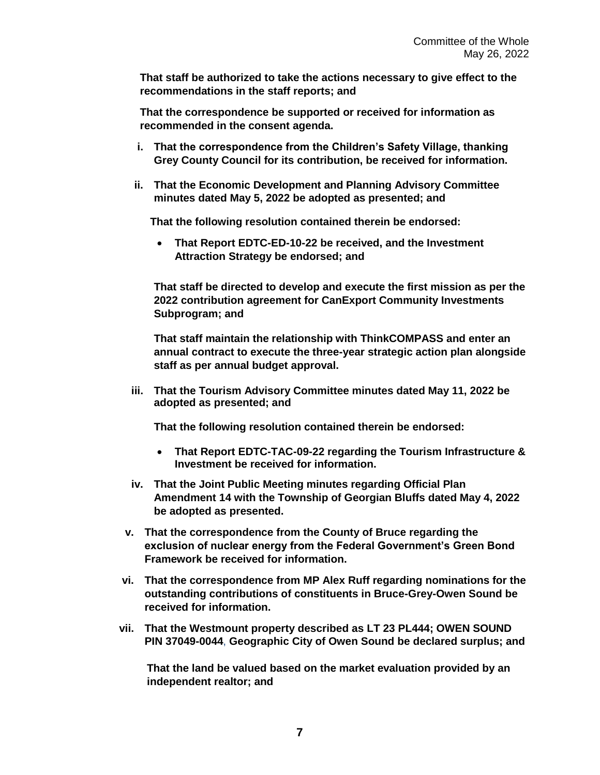**That staff be authorized to take the actions necessary to give effect to the recommendations in the staff reports; and**

**That the correspondence be supported or received for information as recommended in the consent agenda.** 

- **i. That the correspondence from the Children's Safety Village, thanking Grey County Council for its contribution, be received for information.**
- **ii. That the Economic Development and Planning Advisory Committee minutes dated May 5, 2022 be adopted as presented; and**

**That the following resolution contained therein be endorsed:**

 **That Report EDTC-ED-10-22 be received, and the Investment Attraction Strategy be endorsed; and**

**That staff be directed to develop and execute the first mission as per the 2022 contribution agreement for CanExport Community Investments Subprogram; and** 

**That staff maintain the relationship with ThinkCOMPASS and enter an annual contract to execute the three-year strategic action plan alongside staff as per annual budget approval.** 

**iii. That the Tourism Advisory Committee minutes dated May 11, 2022 be adopted as presented; and**

**That the following resolution contained therein be endorsed:**

- **That Report EDTC-TAC-09-22 regarding the Tourism Infrastructure & Investment be received for information.**
- **iv. That the Joint Public Meeting minutes regarding Official Plan Amendment 14 with the Township of Georgian Bluffs dated May 4, 2022 be adopted as presented.**
- **v. That the correspondence from the County of Bruce regarding the exclusion of nuclear energy from the Federal Government's Green Bond Framework be received for information.**
- **vi. That the correspondence from MP Alex Ruff regarding nominations for the outstanding contributions of constituents in Bruce-Grey-Owen Sound be received for information.**
- **vii. That the Westmount property described as LT 23 PL444; OWEN SOUND PIN 37049-0044**, **Geographic City of Owen Sound be declared surplus; and**

**That the land be valued based on the market evaluation provided by an independent realtor; and**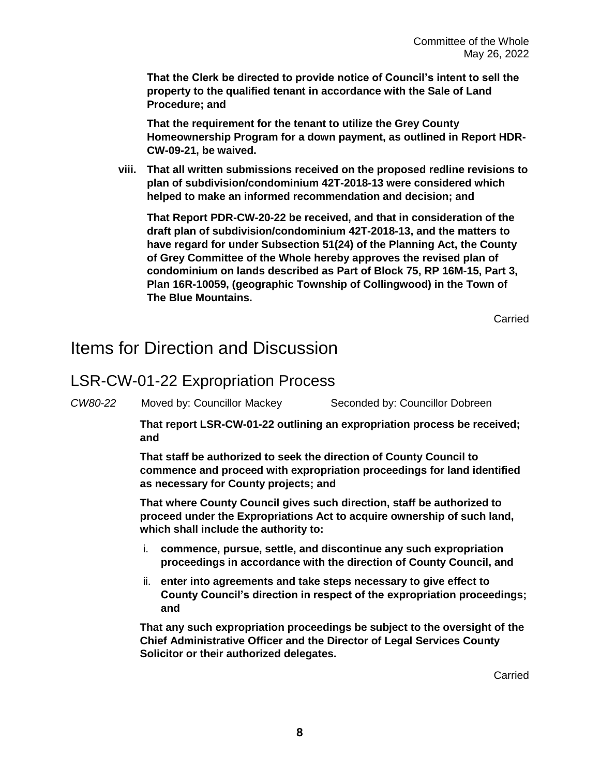**That the Clerk be directed to provide notice of Council's intent to sell the property to the qualified tenant in accordance with the Sale of Land Procedure; and**

**That the requirement for the tenant to utilize the Grey County Homeownership Program for a down payment, as outlined in Report HDR-CW-09-21, be waived.**

**viii. That all written submissions received on the proposed redline revisions to plan of subdivision/condominium 42T-2018-13 were considered which helped to make an informed recommendation and decision; and**

**That Report PDR-CW-20-22 be received, and that in consideration of the draft plan of subdivision/condominium 42T-2018-13, and the matters to have regard for under Subsection 51(24) of the Planning Act, the County of Grey Committee of the Whole hereby approves the revised plan of condominium on lands described as Part of Block 75, RP 16M-15, Part 3, Plan 16R-10059, (geographic Township of Collingwood) in the Town of The Blue Mountains.**

**Carried** 

#### Items for Direction and Discussion

#### LSR-CW-01-22 Expropriation Process

*CW80-22* Moved by: Councillor Mackey Seconded by: Councillor Dobreen

**That report LSR-CW-01-22 outlining an expropriation process be received; and**

**That staff be authorized to seek the direction of County Council to commence and proceed with expropriation proceedings for land identified as necessary for County projects; and**

**That where County Council gives such direction, staff be authorized to proceed under the Expropriations Act to acquire ownership of such land, which shall include the authority to:**

- i. **commence, pursue, settle, and discontinue any such expropriation proceedings in accordance with the direction of County Council, and**
- ii. **enter into agreements and take steps necessary to give effect to County Council's direction in respect of the expropriation proceedings; and**

**That any such expropriation proceedings be subject to the oversight of the Chief Administrative Officer and the Director of Legal Services County Solicitor or their authorized delegates.**

Carried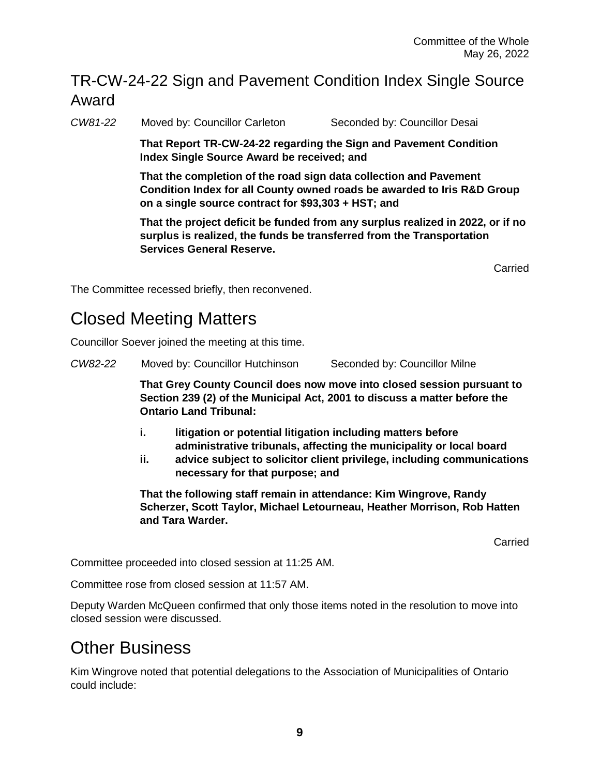#### TR-CW-24-22 Sign and Pavement Condition Index Single Source Award

*CW81-22* Moved by: Councillor Carleton Seconded by: Councillor Desai

**That Report TR-CW-24-22 regarding the Sign and Pavement Condition Index Single Source Award be received; and**

**That the completion of the road sign data collection and Pavement Condition Index for all County owned roads be awarded to Iris R&D Group on a single source contract for \$93,303 + HST; and**

**That the project deficit be funded from any surplus realized in 2022, or if no surplus is realized, the funds be transferred from the Transportation Services General Reserve.** 

Carried

The Committee recessed briefly, then reconvened.

### Closed Meeting Matters

Councillor Soever joined the meeting at this time.

*CW82-22* Moved by: Councillor Hutchinson Seconded by: Councillor Milne

**That Grey County Council does now move into closed session pursuant to Section 239 (2) of the Municipal Act, 2001 to discuss a matter before the Ontario Land Tribunal:**

- **i. litigation or potential litigation including matters before administrative tribunals, affecting the municipality or local board**
- **ii. advice subject to solicitor client privilege, including communications necessary for that purpose; and**

**That the following staff remain in attendance: Kim Wingrove, Randy Scherzer, Scott Taylor, Michael Letourneau, Heather Morrison, Rob Hatten and Tara Warder.** 

Carried

Committee proceeded into closed session at 11:25 AM.

Committee rose from closed session at 11:57 AM.

Deputy Warden McQueen confirmed that only those items noted in the resolution to move into closed session were discussed.

#### Other Business

Kim Wingrove noted that potential delegations to the Association of Municipalities of Ontario could include: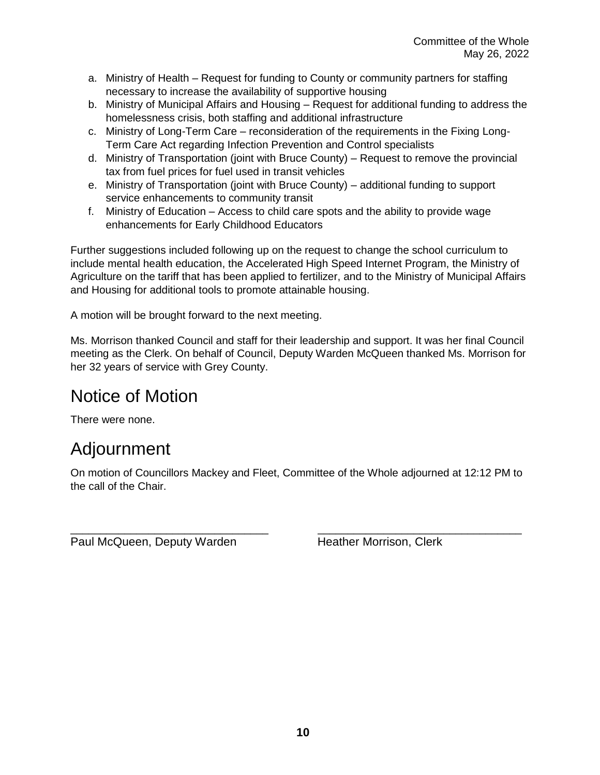- a. Ministry of Health Request for funding to County or community partners for staffing necessary to increase the availability of supportive housing
- b. Ministry of Municipal Affairs and Housing Request for additional funding to address the homelessness crisis, both staffing and additional infrastructure
- c. Ministry of Long-Term Care reconsideration of the requirements in the Fixing Long-Term Care Act regarding Infection Prevention and Control specialists
- d. Ministry of Transportation (joint with Bruce County) Request to remove the provincial tax from fuel prices for fuel used in transit vehicles
- e. Ministry of Transportation (joint with Bruce County) additional funding to support service enhancements to community transit
- f. Ministry of Education Access to child care spots and the ability to provide wage enhancements for Early Childhood Educators

Further suggestions included following up on the request to change the school curriculum to include mental health education, the Accelerated High Speed Internet Program, the Ministry of Agriculture on the tariff that has been applied to fertilizer, and to the Ministry of Municipal Affairs and Housing for additional tools to promote attainable housing.

A motion will be brought forward to the next meeting.

Ms. Morrison thanked Council and staff for their leadership and support. It was her final Council meeting as the Clerk. On behalf of Council, Deputy Warden McQueen thanked Ms. Morrison for her 32 years of service with Grey County.

### Notice of Motion

There were none.

### Adjournment

On motion of Councillors Mackey and Fleet, Committee of the Whole adjourned at 12:12 PM to the call of the Chair.

\_\_\_\_\_\_\_\_\_\_\_\_\_\_\_\_\_\_\_\_\_\_\_\_\_\_\_\_\_\_\_\_\_ \_\_\_\_\_\_\_\_\_\_\_\_\_\_\_\_\_\_\_\_\_\_\_\_\_\_\_\_\_\_\_\_\_\_

Paul McQueen, Deputy Warden Heather Morrison, Clerk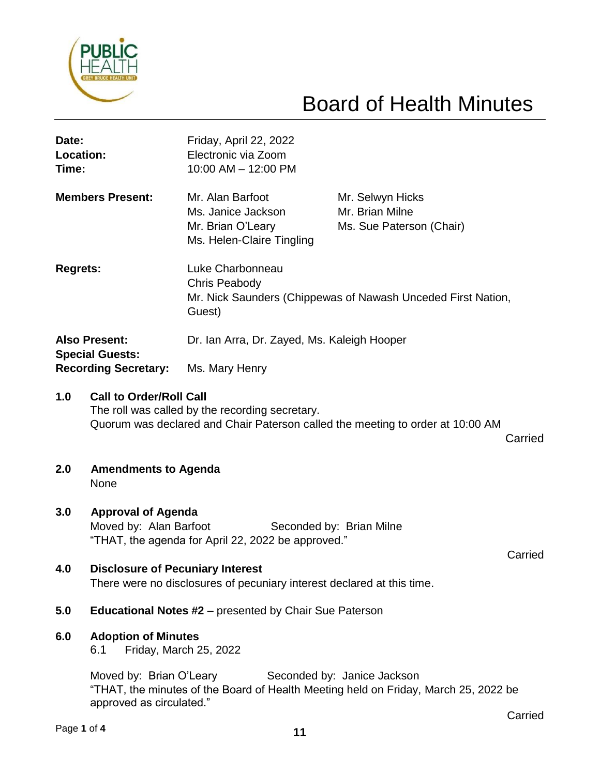

# Board of Health Minutes

| Date:<br>Location:<br>Time:                                                   |                                                                                                                                                                                                               | Friday, April 22, 2022<br>Electronic via Zoom<br>10:00 AM - 12:00 PM                                        |  |                                                                 |  |  |  |
|-------------------------------------------------------------------------------|---------------------------------------------------------------------------------------------------------------------------------------------------------------------------------------------------------------|-------------------------------------------------------------------------------------------------------------|--|-----------------------------------------------------------------|--|--|--|
| <b>Members Present:</b>                                                       |                                                                                                                                                                                                               | Mr. Alan Barfoot<br>Ms. Janice Jackson<br>Mr. Brian O'Leary<br>Ms. Helen-Claire Tingling                    |  | Mr. Selwyn Hicks<br>Mr. Brian Milne<br>Ms. Sue Paterson (Chair) |  |  |  |
| <b>Regrets:</b>                                                               |                                                                                                                                                                                                               | Luke Charbonneau<br>Chris Peabody<br>Mr. Nick Saunders (Chippewas of Nawash Unceded First Nation,<br>Guest) |  |                                                                 |  |  |  |
| <b>Also Present:</b><br><b>Special Guests:</b><br><b>Recording Secretary:</b> |                                                                                                                                                                                                               | Dr. Ian Arra, Dr. Zayed, Ms. Kaleigh Hooper                                                                 |  |                                                                 |  |  |  |
|                                                                               |                                                                                                                                                                                                               | Ms. Mary Henry                                                                                              |  |                                                                 |  |  |  |
| 1.0<br>2.0                                                                    | <b>Call to Order/Roll Call</b><br>The roll was called by the recording secretary.<br>Quorum was declared and Chair Paterson called the meeting to order at 10:00 AM<br>Carried<br><b>Amendments to Agenda</b> |                                                                                                             |  |                                                                 |  |  |  |
|                                                                               | None                                                                                                                                                                                                          |                                                                                                             |  |                                                                 |  |  |  |
| 3.0                                                                           | <b>Approval of Agenda</b><br>Moved by: Alan Barfoot<br>Seconded by: Brian Milne<br>"THAT, the agenda for April 22, 2022 be approved."                                                                         |                                                                                                             |  |                                                                 |  |  |  |
| 4.0                                                                           | Carried<br><b>Disclosure of Pecuniary Interest</b><br>There were no disclosures of pecuniary interest declared at this time.                                                                                  |                                                                                                             |  |                                                                 |  |  |  |
| 5.0                                                                           | <b>Educational Notes #2</b> – presented by Chair Sue Paterson                                                                                                                                                 |                                                                                                             |  |                                                                 |  |  |  |
| 6.0                                                                           | <b>Adoption of Minutes</b><br>Friday, March 25, 2022<br>6.1                                                                                                                                                   |                                                                                                             |  |                                                                 |  |  |  |
|                                                                               | Moved by: Brian O'Leary<br>Seconded by: Janice Jackson<br>"THAT, the minutes of the Board of Health Meeting held on Friday, March 25, 2022 be<br>approved as circulated."                                     |                                                                                                             |  |                                                                 |  |  |  |

Carried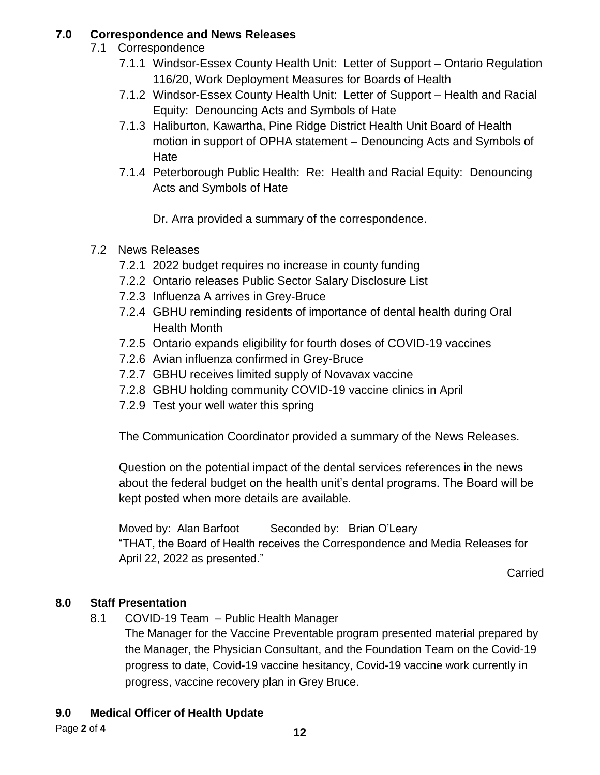#### **7.0 Correspondence and News Releases**

- 7.1 Correspondence
	- 7.1.1 Windsor-Essex County Health Unit: Letter of Support Ontario Regulation 116/20, Work Deployment Measures for Boards of Health
	- 7.1.2 Windsor-Essex County Health Unit: Letter of Support Health and Racial Equity: Denouncing Acts and Symbols of Hate
	- 7.1.3 Haliburton, Kawartha, Pine Ridge District Health Unit Board of Health motion in support of OPHA statement – Denouncing Acts and Symbols of Hate
	- 7.1.4 Peterborough Public Health: Re: Health and Racial Equity: Denouncing Acts and Symbols of Hate
		- Dr. Arra provided a summary of the correspondence.
- 7.2 News Releases
	- 7.2.1 2022 budget requires no increase in county funding
	- 7.2.2 Ontario releases Public Sector Salary Disclosure List
	- 7.2.3 Influenza A arrives in Grey-Bruce
	- 7.2.4 GBHU reminding residents of importance of dental health during Oral Health Month
	- 7.2.5 Ontario expands eligibility for fourth doses of COVID-19 vaccines
	- 7.2.6 Avian influenza confirmed in Grey-Bruce
	- 7.2.7 GBHU receives limited supply of Novavax vaccine
	- 7.2.8 GBHU holding community COVID-19 vaccine clinics in April
	- 7.2.9 Test your well water this spring

The Communication Coordinator provided a summary of the News Releases.

Question on the potential impact of the dental services references in the news about the federal budget on the health unit's dental programs. The Board will be kept posted when more details are available.

Moved by: Alan Barfoot Seconded by: Brian O'Leary "THAT, the Board of Health receives the Correspondence and Media Releases for April 22, 2022 as presented."

**Carried** 

#### **8.0 Staff Presentation**

8.1 COVID-19 Team – Public Health Manager

The Manager for the Vaccine Preventable program presented material prepared by the Manager, the Physician Consultant, and the Foundation Team on the Covid-19 progress to date, Covid-19 vaccine hesitancy, Covid-19 vaccine work currently in progress, vaccine recovery plan in Grey Bruce.

#### **9.0 Medical Officer of Health Update**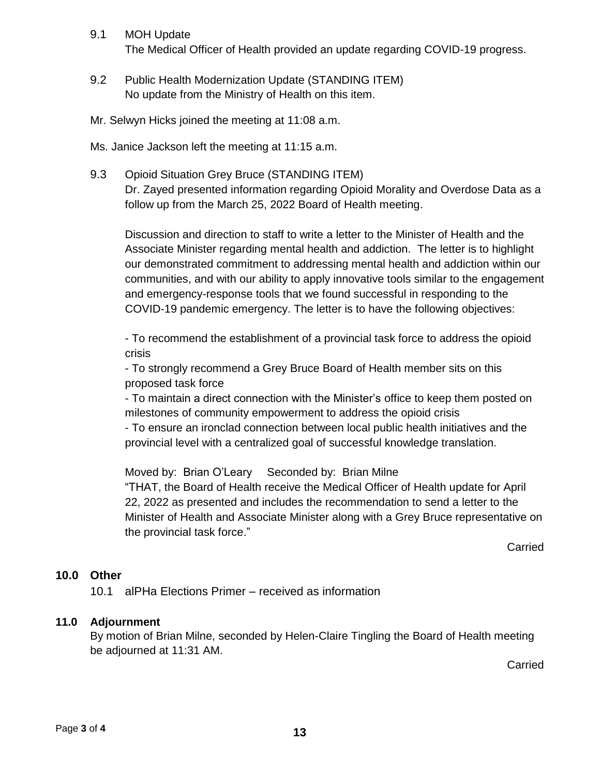- 9.1 MOH Update The Medical Officer of Health provided an update regarding COVID-19 progress.
- 9.2 Public Health Modernization Update (STANDING ITEM) No update from the Ministry of Health on this item.
- Mr. Selwyn Hicks joined the meeting at 11:08 a.m.

Ms. Janice Jackson left the meeting at 11:15 a.m.

9.3 Opioid Situation Grey Bruce (STANDING ITEM) Dr. Zayed presented information regarding Opioid Morality and Overdose Data as a follow up from the March 25, 2022 Board of Health meeting.

Discussion and direction to staff to write a letter to the Minister of Health and the Associate Minister regarding mental health and addiction. The letter is to highlight our demonstrated commitment to addressing mental health and addiction within our communities, and with our ability to apply innovative tools similar to the engagement and emergency-response tools that we found successful in responding to the COVID-19 pandemic emergency. The letter is to have the following objectives:

- To recommend the establishment of a provincial task force to address the opioid crisis

- To strongly recommend a Grey Bruce Board of Health member sits on this proposed task force

- To maintain a direct connection with the Minister's office to keep them posted on milestones of community empowerment to address the opioid crisis

- To ensure an ironclad connection between local public health initiatives and the provincial level with a centralized goal of successful knowledge translation.

Moved by: Brian O'Leary Seconded by: Brian Milne "THAT, the Board of Health receive the Medical Officer of Health update for April 22, 2022 as presented and includes the recommendation to send a letter to the Minister of Health and Associate Minister along with a Grey Bruce representative on the provincial task force."

**Carried** 

#### **10.0 Other**

10.1 alPHa Elections Primer – received as information

#### **11.0 Adjournment**

By motion of Brian Milne, seconded by Helen-Claire Tingling the Board of Health meeting be adjourned at 11:31 AM.

**Carried**